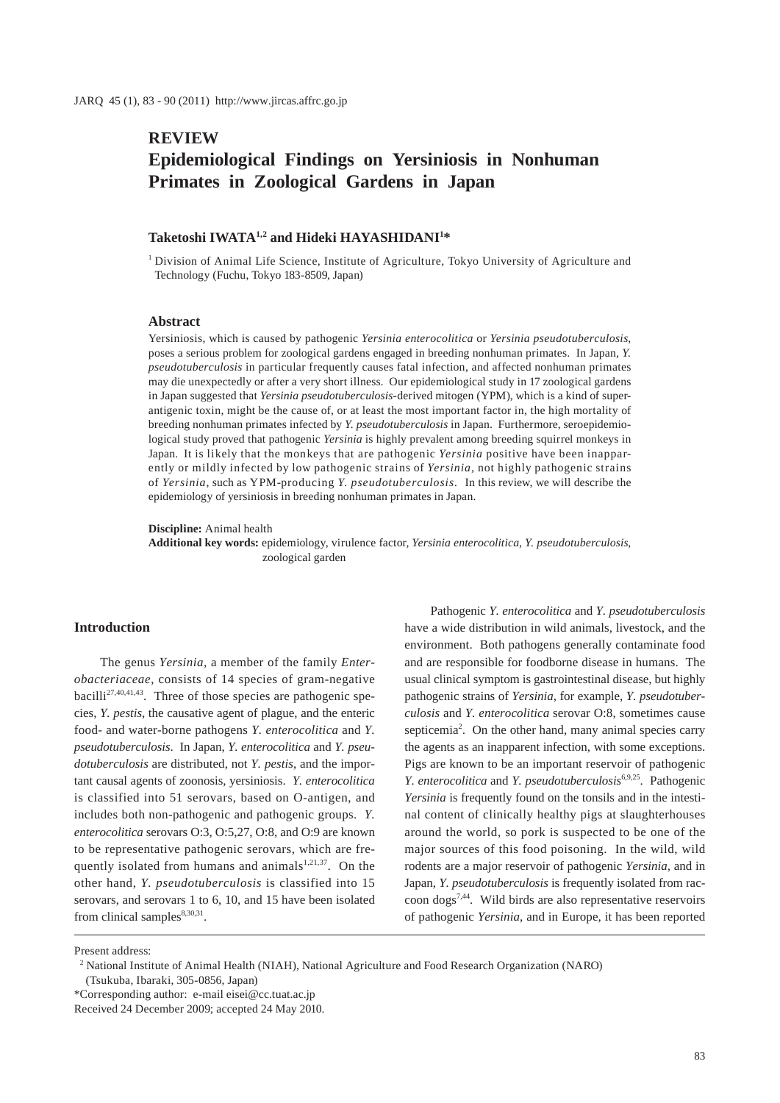## **REVIEW**

# **Epidemiological Findings on Yersiniosis in Nonhuman Primates in Zoological Gardens in Japan**

### **Taketoshi IWATA1,2 and Hideki HAYASHIDANI1 \***

<sup>1</sup> Division of Animal Life Science, Institute of Agriculture, Tokyo University of Agriculture and Technology (Fuchu, Tokyo 183-8509, Japan)

### **Abstract**

Yersiniosis, which is caused by pathogenic *Yersinia enterocolitica* or *Yersinia pseudotuberculosis*, poses a serious problem for zoological gardens engaged in breeding nonhuman primates. In Japan, *Y. pseudotuberculosis* in particular frequently causes fatal infection, and affected nonhuman primates may die unexpectedly or after a very short illness. Our epidemiological study in 17 zoological gardens in Japan suggested that *Yersinia pseudotuberculosis*-derived mitogen (YPM), which is a kind of superantigenic toxin, might be the cause of, or at least the most important factor in, the high mortality of breeding nonhuman primates infected by *Y. pseudotuberculosis* in Japan. Furthermore, seroepidemiological study proved that pathogenic *Yersinia* is highly prevalent among breeding squirrel monkeys in Japan. It is likely that the monkeys that are pathogenic *Yersinia* positive have been inapparently or mildly infected by low pathogenic strains of *Yersinia*, not highly pathogenic strains of *Yersinia*, such as YPM-producing *Y. pseudotuberculosis.* In this review, we will describe the epidemiology of yersiniosis in breeding nonhuman primates in Japan.

**Discipline:** Animal health

**Additional key words:** epidemiology, virulence factor, *Yersinia enterocolitica*, *Y. pseudotuberculosis*, zoological garden

#### **Introduction**

The genus *Yersinia,* a member of the family *Enterobacteriaceae*, consists of 14 species of gram-negative bacilli<sup>27,40,41,43</sup>. Three of those species are pathogenic species, *Y. pestis*, the causative agent of plague, and the enteric food- and water-borne pathogens *Y. enterocolitica* and *Y. pseudotuberculosis*. In Japan, *Y. enterocolitica* and *Y. pseudotuberculosis* are distributed, not *Y. pestis*, and the important causal agents of zoonosis, yersiniosis. *Y. enterocolitica* is classified into 51 serovars, based on O-antigen, and includes both non-pathogenic and pathogenic groups. *Y. enterocolitica* serovars O:3, O:5,27, O:8, and O:9 are known to be representative pathogenic serovars, which are frequently isolated from humans and animals $1,21,37$ . On the other hand, *Y. pseudotuberculosis* is classified into 15 serovars, and serovars 1 to 6, 10, and 15 have been isolated from clinical samples $8,30,31$ .

Pathogenic *Y. enterocolitica* and *Y. pseudotuberculosis*  have a wide distribution in wild animals, livestock, and the environment. Both pathogens generally contaminate food and are responsible for foodborne disease in humans. The usual clinical symptom is gastrointestinal disease, but highly pathogenic strains of *Yersinia*, for example, *Y. pseudotuberculosis* and *Y. enterocolitica* serovar O:8, sometimes cause septicemia<sup>2</sup>. On the other hand, many animal species carry the agents as an inapparent infection, with some exceptions. Pigs are known to be an important reservoir of pathogenic *Y. enterocolitica* and *Y. pseudotuberculosis*6,9,25. Pathogenic *Yersinia* is frequently found on the tonsils and in the intestinal content of clinically healthy pigs at slaughterhouses around the world, so pork is suspected to be one of the major sources of this food poisoning. In the wild, wild rodents are a major reservoir of pathogenic *Yersinia*, and in Japan, *Y. pseudotuberculosis* is frequently isolated from raccoon dogs7,44. Wild birds are also representative reservoirs of pathogenic *Yersinia*, and in Europe, it has been reported

Present address:

\*Corresponding author: e-mail eisei@cc.tuat.ac.jp

<sup>&</sup>lt;sup>2</sup> National Institute of Animal Health (NIAH), National Agriculture and Food Research Organization (NARO) (Tsukuba, Ibaraki, 305-0856, Japan)

Received 24 December 2009; accepted 24 May 2010.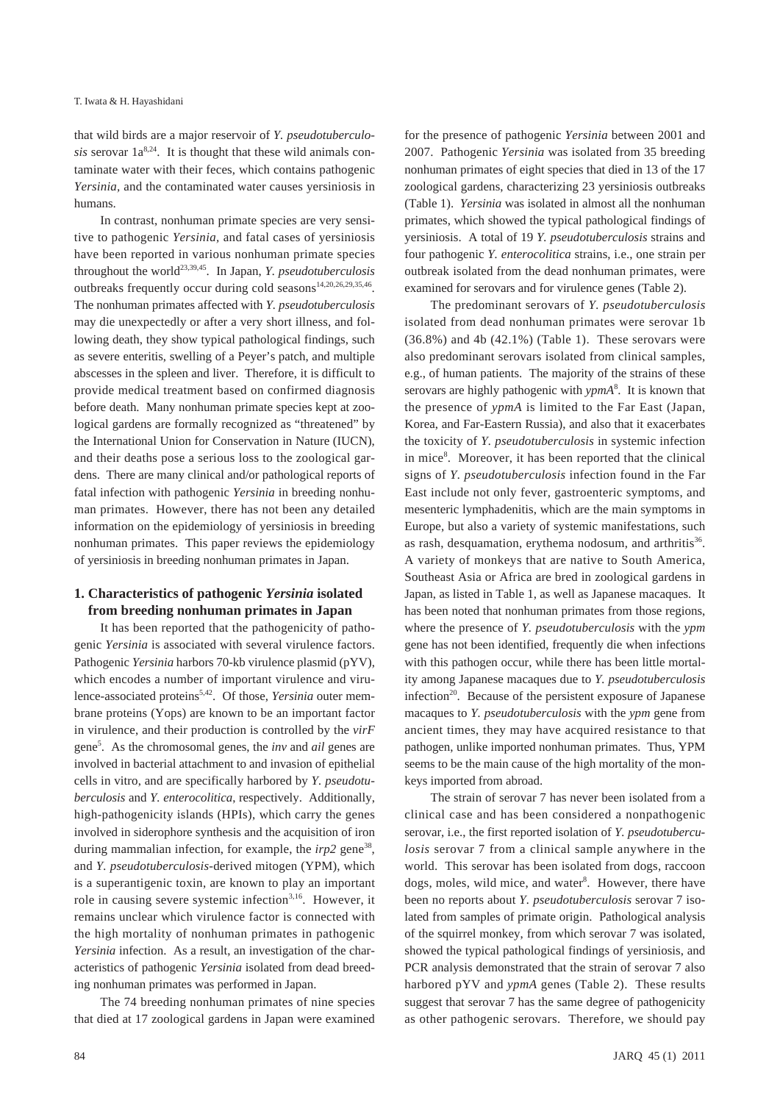that wild birds are a major reservoir of *Y. pseudotuberculosis* serovar  $1a^{8,24}$ . It is thought that these wild animals contaminate water with their feces, which contains pathogenic *Yersinia,* and the contaminated water causes yersiniosis in humans.

In contrast, nonhuman primate species are very sensitive to pathogenic *Yersinia,* and fatal cases of yersiniosis have been reported in various nonhuman primate species throughout the world23,39,45. In Japan, *Y. pseudotuberculosis* outbreaks frequently occur during cold seasons<sup>14,20,26,29,35,46</sup>. The nonhuman primates affected with *Y. pseudotuberculosis* may die unexpectedly or after a very short illness, and following death, they show typical pathological findings, such as severe enteritis, swelling of a Peyer's patch, and multiple abscesses in the spleen and liver. Therefore, it is difficult to provide medical treatment based on confirmed diagnosis before death. Many nonhuman primate species kept at zoological gardens are formally recognized as "threatened" by the International Union for Conservation in Nature (IUCN), and their deaths pose a serious loss to the zoological gardens. There are many clinical and/or pathological reports of fatal infection with pathogenic *Yersinia* in breeding nonhuman primates. However, there has not been any detailed information on the epidemiology of yersiniosis in breeding nonhuman primates. This paper reviews the epidemiology of yersiniosis in breeding nonhuman primates in Japan.

## **1. Characteristics of pathogenic** *Yersinia* **isolated from breeding nonhuman primates in Japan**

It has been reported that the pathogenicity of pathogenic *Yersinia* is associated with several virulence factors. Pathogenic *Yersinia* harbors 70-kb virulence plasmid (pYV), which encodes a number of important virulence and virulence-associated proteins5,42. Of those, *Yersinia* outer membrane proteins (Yops) are known to be an important factor in virulence, and their production is controlled by the *virF* gene5 . As the chromosomal genes, the *inv* and *ail* genes are involved in bacterial attachment to and invasion of epithelial cells in vitro, and are specifically harbored by *Y. pseudotuberculosis* and *Y. enterocolitica*, respectively. Additionally, high-pathogenicity islands (HPIs), which carry the genes involved in siderophore synthesis and the acquisition of iron during mammalian infection, for example, the *irp2* gene<sup>38</sup>, and *Y. pseudotuberculosis*-derived mitogen (YPM), which is a superantigenic toxin, are known to play an important role in causing severe systemic infection<sup>3,16</sup>. However, it remains unclear which virulence factor is connected with the high mortality of nonhuman primates in pathogenic *Yersinia* infection. As a result, an investigation of the characteristics of pathogenic *Yersinia* isolated from dead breeding nonhuman primates was performed in Japan.

The 74 breeding nonhuman primates of nine species that died at 17 zoological gardens in Japan were examined

for the presence of pathogenic *Yersinia* between 2001 and 2007. Pathogenic *Yersinia* was isolated from 35 breeding nonhuman primates of eight species that died in 13 of the 17 zoological gardens, characterizing 23 yersiniosis outbreaks (Table 1). *Yersinia* was isolated in almost all the nonhuman primates, which showed the typical pathological findings of yersiniosis. A total of 19 *Y. pseudotuberculosis* strains and four pathogenic *Y. enterocolitica* strains, i.e., one strain per outbreak isolated from the dead nonhuman primates, were examined for serovars and for virulence genes (Table 2).

The predominant serovars of *Y. pseudotuberculosis* isolated from dead nonhuman primates were serovar 1b  $(36.8\%)$  and 4b  $(42.1\%)$  (Table 1). These serovars were also predominant serovars isolated from clinical samples, e.g., of human patients. The majority of the strains of these serovars are highly pathogenic with *ypmA*<sup>8</sup> . It is known that the presence of *ypmA* is limited to the Far East (Japan, Korea, and Far-Eastern Russia), and also that it exacerbates the toxicity of *Y. pseudotuberculosis* in systemic infection in mice<sup>8</sup>. Moreover, it has been reported that the clinical signs of *Y. pseudotuberculosis* infection found in the Far East include not only fever, gastroenteric symptoms, and mesenteric lymphadenitis, which are the main symptoms in Europe, but also a variety of systemic manifestations, such as rash, desquamation, erythema nodosum, and arthritis<sup>36</sup>. A variety of monkeys that are native to South America, Southeast Asia or Africa are bred in zoological gardens in Japan, as listed in Table 1, as well as Japanese macaques. It has been noted that nonhuman primates from those regions, where the presence of *Y. pseudotuberculosis* with the *ypm*  gene has not been identified, frequently die when infections with this pathogen occur, while there has been little mortality among Japanese macaques due to *Y. pseudotuberculosis* infection<sup>20</sup>. Because of the persistent exposure of Japanese macaques to *Y. pseudotuberculosis* with the *ypm* gene from ancient times, they may have acquired resistance to that pathogen, unlike imported nonhuman primates. Thus, YPM seems to be the main cause of the high mortality of the monkeys imported from abroad.

The strain of serovar 7 has never been isolated from a clinical case and has been considered a nonpathogenic serovar, i.e., the first reported isolation of *Y. pseudotuberculosis* serovar 7 from a clinical sample anywhere in the world. This serovar has been isolated from dogs, raccoon dogs, moles, wild mice, and water<sup>8</sup>. However, there have been no reports about *Y. pseudotuberculosis* serovar 7 isolated from samples of primate origin. Pathological analysis of the squirrel monkey, from which serovar 7 was isolated, showed the typical pathological findings of yersiniosis, and PCR analysis demonstrated that the strain of serovar 7 also harbored pYV and *ypmA* genes (Table 2). These results suggest that serovar 7 has the same degree of pathogenicity as other pathogenic serovars. Therefore, we should pay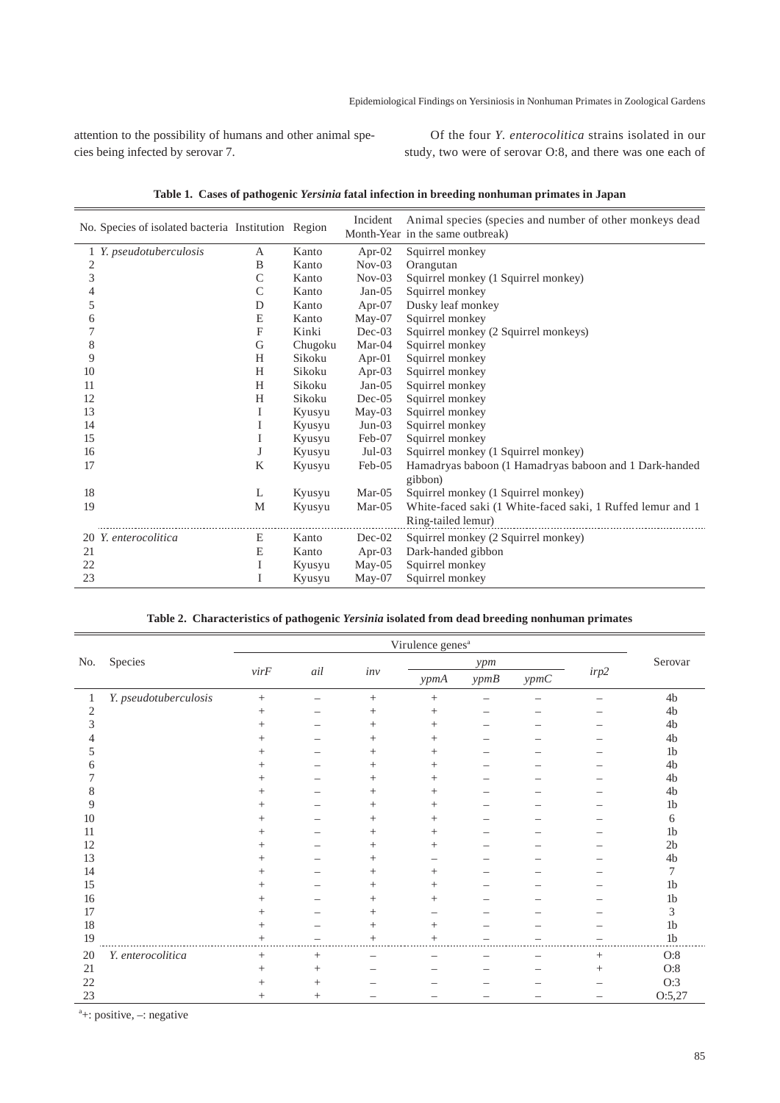attention to the possibility of humans and other animal species being infected by serovar 7.

Of the four *Y. enterocolitica* strains isolated in our study, two were of serovar O:8, and there was one each of

| No. Species of isolated bacteria Institution Region |   |         | Incident  | Animal species (species and number of other monkeys dead<br>Month-Year in the same outbreak) |
|-----------------------------------------------------|---|---------|-----------|----------------------------------------------------------------------------------------------|
| 1 Y. pseudotuberculosis                             | А | Kanto   | Apr- $02$ | Squirrel monkey                                                                              |
| 2                                                   | B | Kanto   | $Nov-03$  | Orangutan                                                                                    |
| 3                                                   | C | Kanto   | $Nov-03$  | Squirrel monkey (1 Squirrel monkey)                                                          |
| 4                                                   | C | Kanto   | $Jan-05$  | Squirrel monkey                                                                              |
| 5                                                   | D | Kanto   | Apr- $07$ | Dusky leaf monkey                                                                            |
| 6                                                   | E | Kanto   | May-07    | Squirrel monkey                                                                              |
|                                                     | F | Kinki   | $Dec-03$  | Squirrel monkey (2 Squirrel monkeys)                                                         |
| 8                                                   | G | Chugoku | $Mar-04$  | Squirrel monkey                                                                              |
| 9                                                   | H | Sikoku  | Apr- $01$ | Squirrel monkey                                                                              |
| 10                                                  | H | Sikoku  | Apr-03    | Squirrel monkey                                                                              |
| 11                                                  | H | Sikoku  | $Jan-05$  | Squirrel monkey                                                                              |
| 12                                                  | H | Sikoku  | $Dec-05$  | Squirrel monkey                                                                              |
| 13                                                  | I | Kyusyu  | May-03    | Squirrel monkey                                                                              |
| 14                                                  |   | Kyusyu  | $Jun-03$  | Squirrel monkey                                                                              |
| 15                                                  |   | Kyusyu  | Feb-07    | Squirrel monkey                                                                              |
| 16                                                  |   | Kyusyu  | $Jul-03$  | Squirrel monkey (1 Squirrel monkey)                                                          |
| 17                                                  | K | Kyusyu  | Feb-05    | Hamadryas baboon (1 Hamadryas baboon and 1 Dark-handed                                       |
|                                                     |   |         |           | gibbon)                                                                                      |
| 18                                                  | L | Kyusyu  | $Mar-05$  | Squirrel monkey (1 Squirrel monkey)                                                          |
| 19                                                  | M | Kyusyu  | $Mar-05$  | White-faced saki (1 White-faced saki, 1 Ruffed lemur and 1                                   |
|                                                     |   |         |           | Ring-tailed lemur)                                                                           |
| 20 Y. enterocolitica                                | E | Kanto   | $Dec-02$  | Squirrel monkey (2 Squirrel monkey)                                                          |
| 21                                                  | Е | Kanto   | Apr- $03$ | Dark-handed gibbon                                                                           |
| 22                                                  | I | Kyusyu  | $May-05$  | Squirrel monkey                                                                              |
| 23                                                  |   | Kyusyu  | $May-07$  | Squirrel monkey                                                                              |

**Table 1. Cases of pathogenic** *Yersinia* **fatal infection in breeding nonhuman primates in Japan**

#### **Table 2. Characteristics of pathogenic** *Yersinia* **isolated from dead breeding nonhuman primates**

|     |                       | Virulence genes <sup>a</sup> |        |        |                |      |      |                    |                |
|-----|-----------------------|------------------------------|--------|--------|----------------|------|------|--------------------|----------------|
| No. | Species               |                              |        |        |                | ypm  |      |                    | Serovar        |
|     |                       | $virF$                       | ail    | $inv$  | ypmA           | ypmB | ypmC | $irp2$             |                |
| 1   | Y. pseudotuberculosis | $+$                          |        | $^{+}$ | $^{+}$         |      |      |                    | 4b             |
| 2   |                       | $^+$                         |        | $^+$   | $^+$           |      |      |                    | 4b             |
| 3   |                       | $^{+}$                       |        | $^{+}$ | $^{+}$         |      |      |                    | $4\mathrm{b}$  |
|     |                       | $^+$                         |        | $^{+}$ | $^{+}$         |      |      |                    | 4 <sub>b</sub> |
|     |                       | $^+$                         |        | $^{+}$ | $^+$           |      |      |                    | 1 <sub>b</sub> |
| 6   |                       | $\pm$                        |        | $^{+}$ | $^{+}$         |      |      |                    | 4b             |
|     |                       | $\pm$                        |        | $^{+}$ | $^+$           |      |      |                    | 4b             |
| 8   |                       | $^+$                         |        | $^{+}$ | $^{+}$         |      |      |                    | $4\mathrm{b}$  |
| 9   |                       | $^{+}$                       |        | $^{+}$ | $^{+}$         |      |      |                    | 1 <sub>b</sub> |
| 10  |                       | $^{+}$                       |        | $^{+}$ | $^{+}$         |      |      |                    | 6              |
| 11  |                       | $^{+}$                       |        | $^{+}$ | $^{+}$         |      |      |                    | 1 <sub>b</sub> |
| 12  |                       | $\pm$                        |        | $^{+}$ | $^{+}$         |      |      |                    | 2 <sub>b</sub> |
| 13  |                       | $^+$                         |        | $^{+}$ |                |      |      |                    | 4b             |
| 14  |                       | $^{+}$                       |        | $^{+}$ | $^{+}$         |      |      |                    | 7              |
| 15  |                       | $^{+}$                       |        | $^{+}$ | $^{+}$         |      |      |                    | 1 <sub>b</sub> |
| 16  |                       | $\,$                         |        | $^{+}$ | $^+$           |      |      |                    | 1 <sub>b</sub> |
| 17  |                       | $^{+}$                       |        | $^{+}$ |                |      |      |                    | 3              |
| 18  |                       | $^{+}$                       |        | $^{+}$ | $^{+}$         |      |      |                    | 1 <sub>b</sub> |
| 19  |                       | $^{+}$                       |        | $^{+}$ | $\overline{+}$ |      |      |                    | 1 <sub>b</sub> |
| 20  | Y. enterocolitica     | $^{+}$                       | $^{+}$ |        |                |      |      | $^{+}$             | O:8            |
| 21  |                       | $^{+}$                       | $\pm$  |        |                |      |      | $\hspace{0.1mm} +$ | O:8            |
| 22  |                       | $\,$                         |        |        |                |      |      |                    | O:3            |
| 23  |                       | $^{+}$                       | $^+$   |        |                |      |      |                    | O:5,27         |

a +: positive, –: negative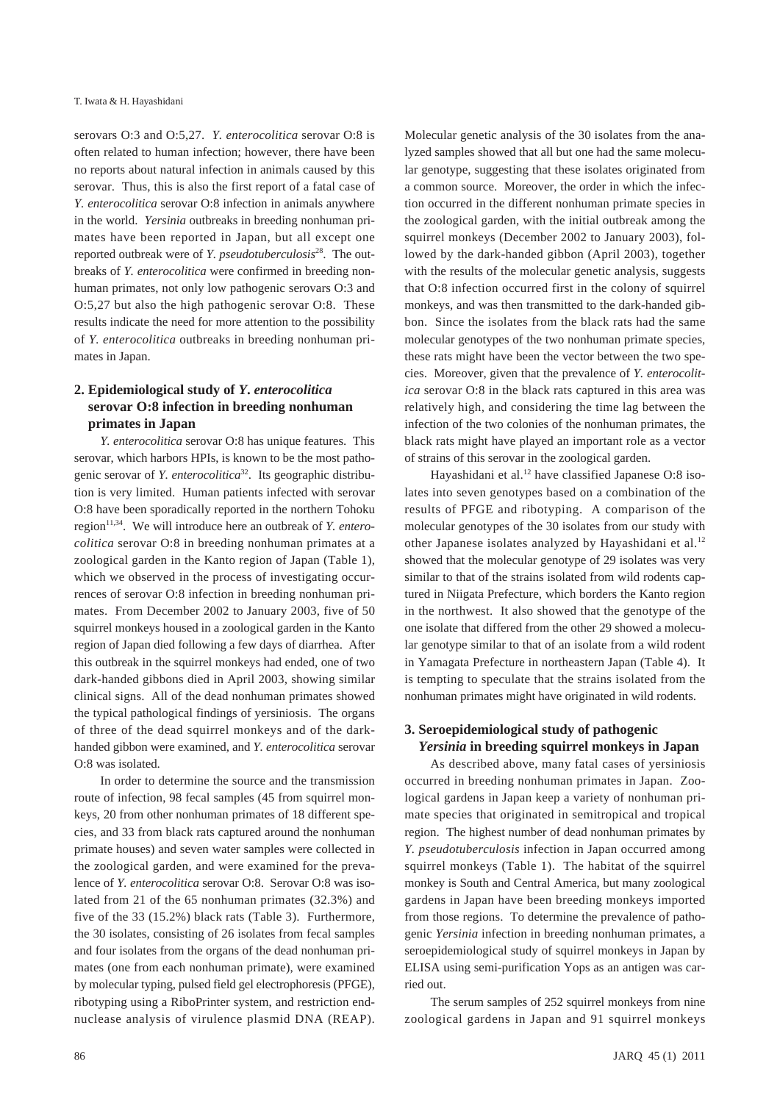serovars O:3 and O:5,27. *Y. enterocolitica* serovar O:8 is often related to human infection; however, there have been no reports about natural infection in animals caused by this serovar. Thus, this is also the first report of a fatal case of *Y. enterocolitica* serovar O:8 infection in animals anywhere in the world. *Yersinia* outbreaks in breeding nonhuman primates have been reported in Japan, but all except one reported outbreak were of *Y. pseudotuberculosis*28. The outbreaks of *Y. enterocolitica* were confirmed in breeding nonhuman primates, not only low pathogenic serovars O:3 and O:5,27 but also the high pathogenic serovar O:8. These results indicate the need for more attention to the possibility of *Y. enterocolitica* outbreaks in breeding nonhuman primates in Japan.

## **2. Epidemiological study of** *Y***.** *enterocolitica* **serovar O:8 infection in breeding nonhuman primates in Japan**

*Y. enterocolitica* serovar O:8 has unique features. This serovar, which harbors HPIs, is known to be the most pathogenic serovar of *Y. enterocolitica*<sup>32</sup>. Its geographic distribution is very limited. Human patients infected with serovar O:8 have been sporadically reported in the northern Tohoku region<sup>11,34</sup>. We will introduce here an outbreak of *Y. enterocolitica* serovar O:8 in breeding nonhuman primates at a zoological garden in the Kanto region of Japan (Table 1), which we observed in the process of investigating occurrences of serovar O:8 infection in breeding nonhuman primates. From December 2002 to January 2003, five of 50 squirrel monkeys housed in a zoological garden in the Kanto region of Japan died following a few days of diarrhea. After this outbreak in the squirrel monkeys had ended, one of two dark-handed gibbons died in April 2003, showing similar clinical signs. All of the dead nonhuman primates showed the typical pathological findings of yersiniosis. The organs of three of the dead squirrel monkeys and of the darkhanded gibbon were examined, and *Y. enterocolitica* serovar O:8 was isolated.

In order to determine the source and the transmission route of infection, 98 fecal samples (45 from squirrel monkeys, 20 from other nonhuman primates of 18 different species, and 33 from black rats captured around the nonhuman primate houses) and seven water samples were collected in the zoological garden, and were examined for the prevalence of *Y. enterocolitica* serovar O:8. Serovar O:8 was isolated from 21 of the 65 nonhuman primates (32.3%) and five of the 33 (15.2%) black rats (Table 3). Furthermore, the 30 isolates, consisting of 26 isolates from fecal samples and four isolates from the organs of the dead nonhuman primates (one from each nonhuman primate), were examined by molecular typing, pulsed field gel electrophoresis (PFGE), ribotyping using a RiboPrinter system, and restriction endnuclease analysis of virulence plasmid DNA (REAP).

Molecular genetic analysis of the 30 isolates from the analyzed samples showed that all but one had the same molecular genotype, suggesting that these isolates originated from a common source. Moreover, the order in which the infection occurred in the different nonhuman primate species in the zoological garden, with the initial outbreak among the squirrel monkeys (December 2002 to January 2003), followed by the dark-handed gibbon (April 2003), together with the results of the molecular genetic analysis, suggests that O:8 infection occurred first in the colony of squirrel monkeys, and was then transmitted to the dark-handed gibbon. Since the isolates from the black rats had the same molecular genotypes of the two nonhuman primate species, these rats might have been the vector between the two species. Moreover, given that the prevalence of *Y. enterocolitica* serovar O:8 in the black rats captured in this area was relatively high, and considering the time lag between the infection of the two colonies of the nonhuman primates, the black rats might have played an important role as a vector of strains of this serovar in the zoological garden.

Hayashidani et al.<sup>12</sup> have classified Japanese O:8 isolates into seven genotypes based on a combination of the results of PFGE and ribotyping. A comparison of the molecular genotypes of the 30 isolates from our study with other Japanese isolates analyzed by Hayashidani et al.<sup>12</sup> showed that the molecular genotype of 29 isolates was very similar to that of the strains isolated from wild rodents captured in Niigata Prefecture, which borders the Kanto region in the northwest. It also showed that the genotype of the one isolate that differed from the other 29 showed a molecular genotype similar to that of an isolate from a wild rodent in Yamagata Prefecture in northeastern Japan (Table 4). It is tempting to speculate that the strains isolated from the nonhuman primates might have originated in wild rodents.

### **3. Seroepidemiological study of pathogenic**  *Yersinia* **in breeding squirrel monkeys in Japan**

As described above, many fatal cases of yersiniosis occurred in breeding nonhuman primates in Japan. Zoological gardens in Japan keep a variety of nonhuman primate species that originated in semitropical and tropical region. The highest number of dead nonhuman primates by *Y. pseudotuberculosis* infection in Japan occurred among squirrel monkeys (Table 1). The habitat of the squirrel monkey is South and Central America, but many zoological gardens in Japan have been breeding monkeys imported from those regions. To determine the prevalence of pathogenic *Yersinia* infection in breeding nonhuman primates, a seroepidemiological study of squirrel monkeys in Japan by ELISA using semi-purification Yops as an antigen was carried out.

The serum samples of 252 squirrel monkeys from nine zoological gardens in Japan and 91 squirrel monkeys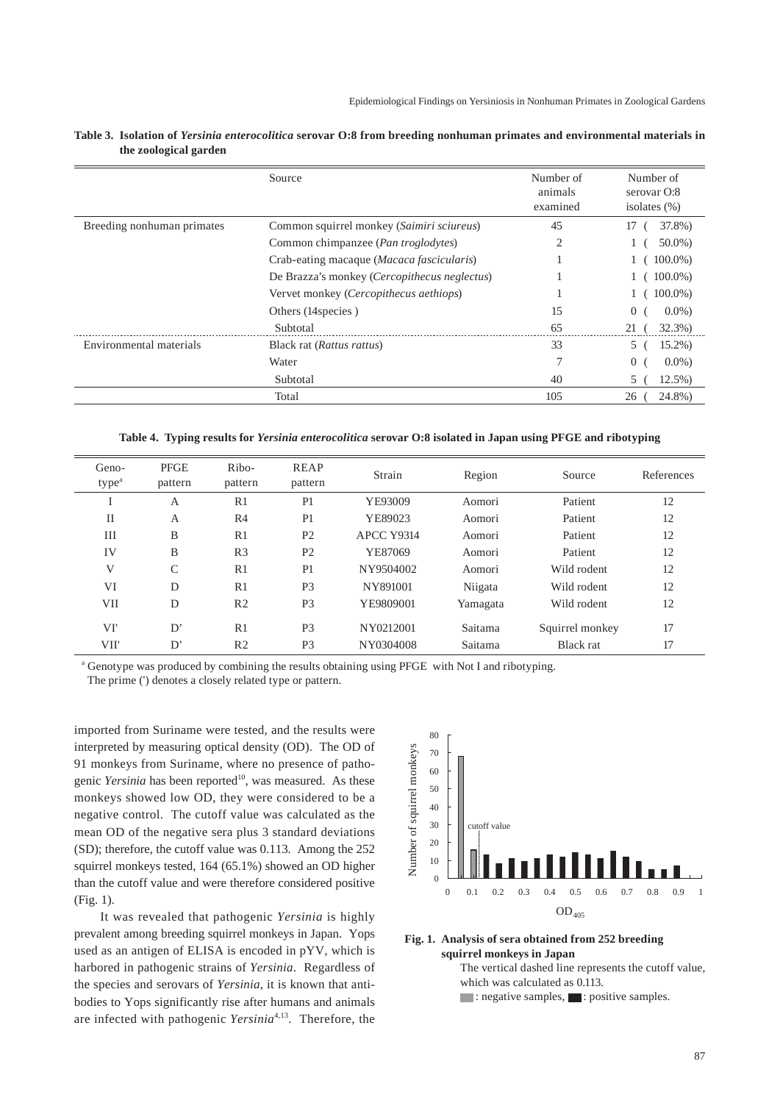|                            | Source                                       | Number of<br>animals<br>examined | Number of<br>serovar O:8<br>isolates $(\%)$ |
|----------------------------|----------------------------------------------|----------------------------------|---------------------------------------------|
| Breeding nonhuman primates | Common squirrel monkey (Saimiri sciureus)    | 45                               | 37.8%)<br>17                                |
|                            | Common chimpanzee (Pan troglodytes)          | 2                                | $50.0\%$                                    |
|                            | Crab-eating macaque (Macaca fascicularis)    |                                  | $100.0\%$ )                                 |
|                            | De Brazza's monkey (Cercopithecus neglectus) |                                  | $100.0\%$                                   |
|                            | Vervet monkey (Cercopithecus aethiops)       |                                  | $100.0\%)$                                  |
|                            | Others (14 species)                          | 15                               | 0 <sub>1</sub><br>$0.0\%$                   |
|                            | Subtotal                                     | 65                               | 21(<br>32.3%)                               |
| Environmental materials    | Black rat (Rattus rattus)                    | 33                               | $15.2\%$ )<br>5                             |
|                            | Water                                        |                                  | $\overline{0}$<br>$0.0\%$                   |
|                            | Subtotal                                     | 40                               | $12.5\%$ )<br>5.                            |
|                            | Total                                        | 105                              | 24.8%)<br>26                                |

**Table 3. Isolation of** *Yersinia enterocolitica* **serovar O:8 from breeding nonhuman primates and environmental materials in the zoological garden**

**Table 4. Typing results for** *Yersinia enterocolitica* **serovar O:8 isolated in Japan using PFGE and ribotyping**

| Geno-<br>type <sup>a</sup> | <b>PFGE</b><br>pattern | Ribo-<br>pattern | REAP<br>pattern | Strain            | Region   | Source          | References |
|----------------------------|------------------------|------------------|-----------------|-------------------|----------|-----------------|------------|
| 1                          | A                      | R1               | P <sub>1</sub>  | YE93009           | Aomori   | Patient         | 12         |
| $_{\rm II}$                | A                      | R <sub>4</sub>   | P <sub>1</sub>  | YE89023           | Aomori   | Patient         | 12         |
| Ш                          | B                      | R1               | P <sub>2</sub>  | <b>APCC Y9314</b> | Aomori   | Patient         | 12         |
| IV                         | B                      | R <sub>3</sub>   | P <sub>2</sub>  | YE87069           | Aomori   | Patient         | 12         |
| V                          | C                      | R <sub>1</sub>   | P <sub>1</sub>  | NY9504002         | Aomori   | Wild rodent     | 12         |
| VI                         | D                      | R <sub>1</sub>   | P <sub>3</sub>  | NY891001          | Niigata  | Wild rodent     | 12         |
| VII                        | D                      | R <sub>2</sub>   | P <sub>3</sub>  | YE9809001         | Yamagata | Wild rodent     | 12         |
| VI'                        | D'                     | R1               | P <sub>3</sub>  | NY0212001         | Saitama  | Squirrel monkey | 17         |
| VII'                       | D'                     | R <sub>2</sub>   | P <sub>3</sub>  | NY0304008         | Saitama  | Black rat       | 17         |

<sup>a</sup> Genotype was produced by combining the results obtaining using PFGE with Not I and ribotyping.

The prime (') denotes a closely related type or pattern.

imported from Suriname were tested, and the results were interpreted by measuring optical density (OD). The OD of 91 monkeys from Suriname, where no presence of pathogenic *Yersinia* has been reported<sup>10</sup>, was measured. As these monkeys showed low OD, they were considered to be a negative control. The cutoff value was calculated as the mean OD of the negative sera plus 3 standard deviations (SD); therefore, the cutoff value was 0.113. Among the 252 squirrel monkeys tested, 164 (65.1%) showed an OD higher than the cutoff value and were therefore considered positive (Fig. 1).

It was revealed that pathogenic *Yersinia* is highly prevalent among breeding squirrel monkeys in Japan. Yops used as an antigen of ELISA is encoded in pYV, which is harbored in pathogenic strains of *Yersinia*. Regardless of the species and serovars of *Yersinia*, it is known that antibodies to Yops significantly rise after humans and animals are infected with pathogenic *Yersinia*4,13. Therefore, the



#### **Fig. 1. Analysis of sera obtained from 252 breeding squirrel monkeys in Japan** The vertical dashed line represents the cutoff value, which was calculated as 0.113.  $\blacksquare$ : negative samples,  $\blacksquare$ : positive samples.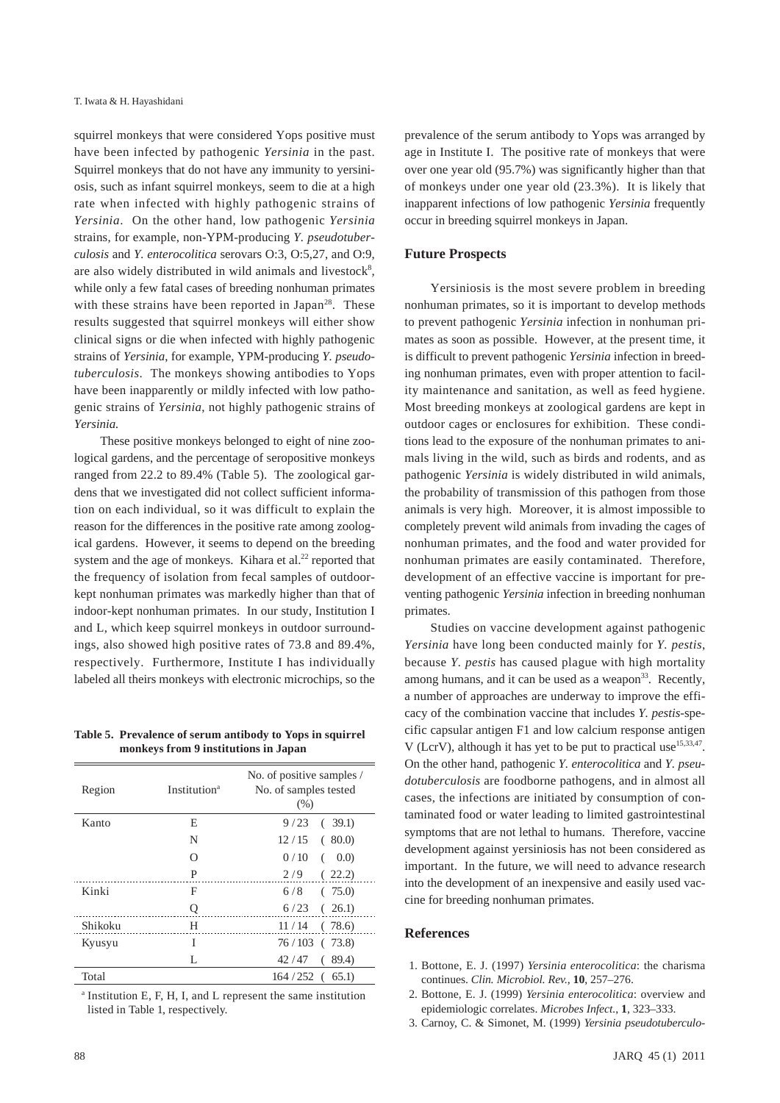squirrel monkeys that were considered Yops positive must have been infected by pathogenic *Yersinia* in the past. Squirrel monkeys that do not have any immunity to yersiniosis, such as infant squirrel monkeys, seem to die at a high rate when infected with highly pathogenic strains of *Yersinia*. On the other hand, low pathogenic *Yersinia* strains, for example, non-YPM-producing *Y. pseudotuberculosis* and *Y. enterocolitica* serovars O:3, O:5,27, and O:9, are also widely distributed in wild animals and livestock<sup>8</sup>, while only a few fatal cases of breeding nonhuman primates with these strains have been reported in Japan<sup>28</sup>. These results suggested that squirrel monkeys will either show clinical signs or die when infected with highly pathogenic strains of *Yersinia*, for example, YPM-producing *Y. pseudotuberculosis*. The monkeys showing antibodies to Yops have been inapparently or mildly infected with low pathogenic strains of *Yersinia*, not highly pathogenic strains of *Yersinia.*

These positive monkeys belonged to eight of nine zoological gardens, and the percentage of seropositive monkeys ranged from 22.2 to 89.4% (Table 5). The zoological gardens that we investigated did not collect sufficient information on each individual, so it was difficult to explain the reason for the differences in the positive rate among zoological gardens. However, it seems to depend on the breeding system and the age of monkeys. Kihara et al.<sup>22</sup> reported that the frequency of isolation from fecal samples of outdoorkept nonhuman primates was markedly higher than that of indoor-kept nonhuman primates. In our study, Institution I and L, which keep squirrel monkeys in outdoor surroundings, also showed high positive rates of 73.8 and 89.4%, respectively. Furthermore, Institute I has individually labeled all theirs monkeys with electronic microchips, so the

**Table 5. Prevalence of serum antibody to Yops in squirrel monkeys from 9 institutions in Japan**

| Region  | <b>Institution</b> <sup>a</sup> | No. of positive samples /<br>No. of samples tested<br>(% ) |
|---------|---------------------------------|------------------------------------------------------------|
| Kanto   | E                               | 9/23<br>(39.1)                                             |
|         | N                               | 12/15<br>(80.0)                                            |
|         | ∩                               | 0/10<br>(0.0)<br>(                                         |
|         | P                               | 2/9<br>(22.2)                                              |
| Kinki   | F                               | (75.0)<br>6/8                                              |
|         | Q                               | 6/23<br>(26.1)                                             |
| Shikoku | H                               | $11/14$ (78.6)                                             |
| Kyusyu  | Ī                               | $76/103$ ( $73.8$ )                                        |
|         | L                               | 42/47<br>89.4)<br>(                                        |
| Total   |                                 | 164/252<br>65.1)<br>$\left($                               |

a Institution E, F, H, I, and L represent the same institution listed in Table 1, respectively.

over one year old (95.7%) was significantly higher than that of monkeys under one year old (23.3%). It is likely that inapparent infections of low pathogenic *Yersinia* frequently occur in breeding squirrel monkeys in Japan. **Future Prospects**

prevalence of the serum antibody to Yops was arranged by age in Institute I. The positive rate of monkeys that were

Yersiniosis is the most severe problem in breeding nonhuman primates, so it is important to develop methods to prevent pathogenic *Yersinia* infection in nonhuman primates as soon as possible. However, at the present time, it is difficult to prevent pathogenic *Yersinia* infection in breeding nonhuman primates, even with proper attention to facility maintenance and sanitation, as well as feed hygiene. Most breeding monkeys at zoological gardens are kept in outdoor cages or enclosures for exhibition. These conditions lead to the exposure of the nonhuman primates to animals living in the wild, such as birds and rodents, and as pathogenic *Yersinia* is widely distributed in wild animals, the probability of transmission of this pathogen from those animals is very high. Moreover, it is almost impossible to completely prevent wild animals from invading the cages of nonhuman primates, and the food and water provided for nonhuman primates are easily contaminated. Therefore, development of an effective vaccine is important for preventing pathogenic *Yersinia* infection in breeding nonhuman primates.

Studies on vaccine development against pathogenic *Yersinia* have long been conducted mainly for *Y. pestis*, because *Y. pestis* has caused plague with high mortality among humans, and it can be used as a weapon<sup>33</sup>. Recently, a number of approaches are underway to improve the efficacy of the combination vaccine that includes *Y. pestis*-specific capsular antigen F1 and low calcium response antigen V (LcrV), although it has yet to be put to practical use<sup>15,33,47</sup>. On the other hand, pathogenic *Y. enterocolitica* and *Y. pseudotuberculosis* are foodborne pathogens, and in almost all cases, the infections are initiated by consumption of contaminated food or water leading to limited gastrointestinal symptoms that are not lethal to humans. Therefore, vaccine development against yersiniosis has not been considered as important. In the future, we will need to advance research into the development of an inexpensive and easily used vaccine for breeding nonhuman primates.

#### **References**

- 1. Bottone, E. J. (1997) *Yersinia enterocolitica*: the charisma continues. *Clin. Microbiol. Rev.*, **10**, 257–276.
- 2. Bottone, E. J. (1999) *Yersinia enterocolitica*: overview and epidemiologic correlates. *Microbes Infect.*, **1**, 323–333.
- 3. Carnoy, C. & Simonet, M. (1999) *Yersinia pseudotuberculo-*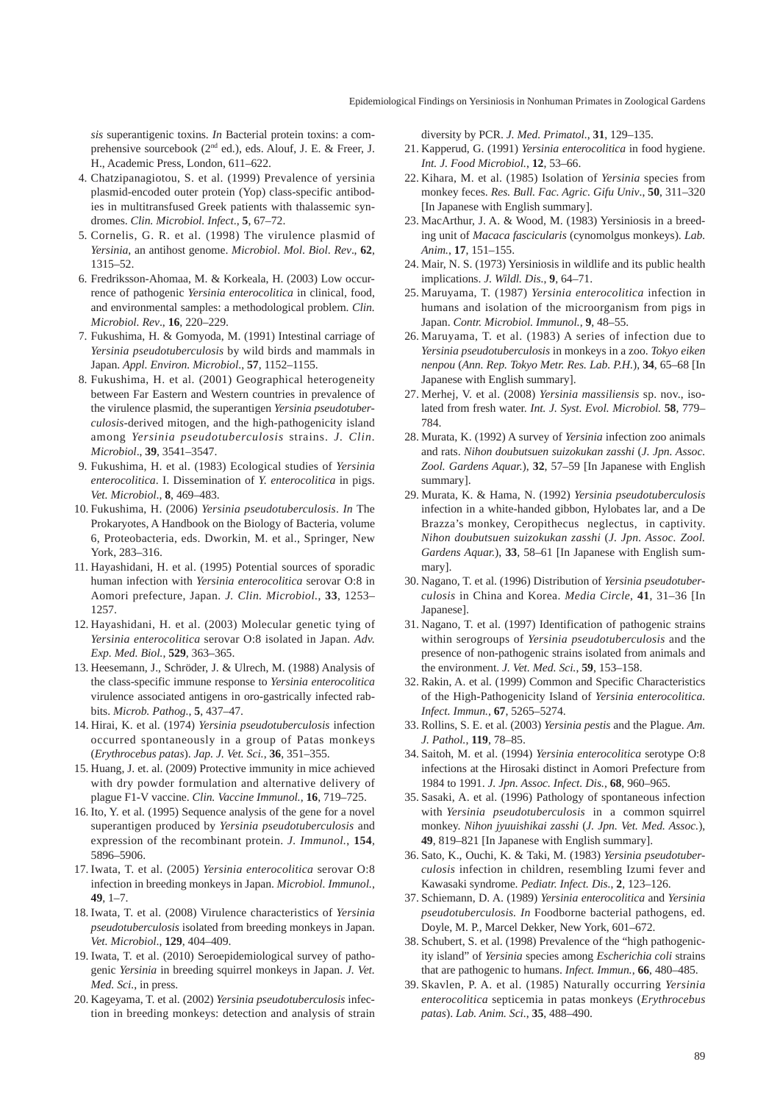*sis* superantigenic toxins. *In* Bacterial protein toxins: a comprehensive sourcebook (2<sup>nd</sup> ed.), eds. Alouf, J. E. & Freer, J. H., Academic Press, London, 611–622.

- 4. Chatzipanagiotou, S. et al. (1999) Prevalence of yersinia plasmid-encoded outer protein (Yop) class-specific antibodies in multitransfused Greek patients with thalassemic syndromes. *Clin. Microbiol. Infect*., **5**, 67–72.
- 5. Cornelis, G. R. et al. (1998) The virulence plasmid of *Yersinia*, an antihost genome. *Microbiol*. *Mol*. *Biol*. *Rev*., **62**, 1315–52.
- 6. Fredriksson-Ahomaa, M. & Korkeala, H. (2003) Low occurrence of pathogenic *Yersinia enterocolitica* in clinical, food, and environmental samples: a methodological problem. *Clin. Microbiol. Rev*., **16**, 220–229.
- 7. Fukushima, H. & Gomyoda, M. (1991) Intestinal carriage of *Yersinia pseudotuberculosis* by wild birds and mammals in Japan. *Appl. Environ. Microbiol*., **57**, 1152–1155.
- 8. Fukushima, H. et al. (2001) Geographical heterogeneity between Far Eastern and Western countries in prevalence of the virulence plasmid, the superantigen *Yersinia pseudotuberculosis*-derived mitogen, and the high-pathogenicity island among *Yersinia pseudotuberculosis* strains. *J. Clin. Microbiol*., **39**, 3541–3547.
- 9. Fukushima, H. et al. (1983) Ecological studies of *Yersinia enterocolitica*. I. Dissemination of *Y. enterocolitica* in pigs. *Vet. Microbiol*., **8**, 469–483.
- 10. Fukushima, H. (2006) *Yersinia pseudotuberculosis*. *In* The Prokaryotes, A Handbook on the Biology of Bacteria, volume 6, Proteobacteria, eds. Dworkin, M. et al., Springer, New York, 283–316.
- 11. Hayashidani, H. et al. (1995) Potential sources of sporadic human infection with *Yersinia enterocolitica* serovar O:8 in Aomori prefecture, Japan. *J. Clin. Microbiol.*, **33**, 1253– 1257.
- 12. Hayashidani, H. et al. (2003) Molecular genetic tying of *Yersinia enterocolitica* serovar O:8 isolated in Japan. *Adv. Exp. Med. Biol.*, **529**, 363–365.
- 13. Heesemann, J., Schröder, J. & Ulrech, M. (1988) Analysis of the class-specific immune response to *Yersinia enterocolitica* virulence associated antigens in oro-gastrically infected rabbits. *Microb. Pathog.*, **5**, 437–47.
- 14. Hirai, K. et al. (1974) *Yersinia pseudotuberculosis* infection occurred spontaneously in a group of Patas monkeys (*Erythrocebus patas*). *Jap. J. Vet. Sci.*, **36**, 351–355.
- 15. Huang, J. et. al. (2009) Protective immunity in mice achieved with dry powder formulation and alternative delivery of plague F1-V vaccine. *Clin. Vaccine Immunol.*, **16**, 719–725.
- 16. Ito, Y. et al. (1995) Sequence analysis of the gene for a novel superantigen produced by *Yersinia pseudotuberculosis* and expression of the recombinant protein. *J. Immunol.*, **154**, 5896–5906.
- 17. Iwata, T. et al. (2005) *Yersinia enterocolitica* serovar O:8 infection in breeding monkeys in Japan. *Microbiol. Immunol.*, **49**, 1–7.
- 18. Iwata, T. et al. (2008) Virulence characteristics of *Yersinia pseudotuberculosis* isolated from breeding monkeys in Japan. *Vet. Microbiol*., **129**, 404–409.
- 19. Iwata, T. et al. (2010) Seroepidemiological survey of pathogenic *Yersinia* in breeding squirrel monkeys in Japan. *J. Vet. Med. Sci.*, in press.
- 20. Kageyama, T. et al. (2002) *Yersinia pseudotuberculosis* infection in breeding monkeys: detection and analysis of strain

diversity by PCR. *J. Med. Primatol.*, **31**, 129–135.

- 21. Kapperud, G. (1991) *Yersinia enterocolitica* in food hygiene. *Int. J. Food Microbiol.*, **12**, 53–66.
- 22. Kihara, M. et al. (1985) Isolation of *Yersinia* species from monkey feces. *Res. Bull. Fac. Agric. Gifu Univ*., **50**, 311–320 [In Japanese with English summary].
- 23. MacArthur, J. A. & Wood, M. (1983) Yersiniosis in a breeding unit of *Macaca fascicularis* (cynomolgus monkeys). *Lab. Anim.*, **17**, 151–155.
- 24. Mair, N. S. (1973) Yersiniosis in wildlife and its public health implications. *J. Wildl. Dis.*, **9**, 64–71.
- 25. Maruyama, T. (1987) *Yersinia enterocolitica* infection in humans and isolation of the microorganism from pigs in Japan. *Contr. Microbiol. Immunol.*, **9**, 48–55.
- 26. Maruyama, T. et al. (1983) A series of infection due to *Yersinia pseudotuberculosis* in monkeys in a zoo. *Tokyo eiken nenpou* (*Ann. Rep. Tokyo Metr. Res. Lab. P.H.*), **34**, 65–68 [In Japanese with English summary].
- 27. Merhej, V. et al. (2008) *Yersinia massiliensis* sp. nov., isolated from fresh water. *Int. J. Syst. Evol. Microbiol.* **58**, 779– 784.
- 28. Murata, K. (1992) A survey of *Yersinia* infection zoo animals and rats. *Nihon doubutsuen suizokukan zasshi* (*J. Jpn. Assoc. Zool. Gardens Aquar.*), **32**, 57–59 [In Japanese with English summary].
- 29. Murata, K. & Hama, N. (1992) *Yersinia pseudotuberculosis* infection in a white-handed gibbon, Hylobates lar, and a De Brazza's monkey, Ceropithecus neglectus, in captivity. *Nihon doubutsuen suizokukan zasshi* (*J. Jpn. Assoc. Zool. Gardens Aquar.*), **33**, 58–61 [In Japanese with English summary].
- 30. Nagano, T. et al. (1996) Distribution of *Yersinia pseudotuberculosis* in China and Korea. *Media Circle*, **41**, 31–36 [In Japanese].
- 31. Nagano, T. et al. (1997) Identification of pathogenic strains within serogroups of *Yersinia pseudotuberculosis* and the presence of non-pathogenic strains isolated from animals and the environment. *J. Vet. Med. Sci.*, **59**, 153–158.
- 32. Rakin, A. et al. (1999) Common and Specific Characteristics of the High-Pathogenicity Island of *Yersinia enterocolitica. Infect. Immun.*, **67**, 5265–5274.
- 33. Rollins, S. E. et al. (2003) *Yersinia pestis* and the Plague. *Am. J. Pathol.*, **119**, 78–85.
- 34. Saitoh, M. et al. (1994) *Yersinia enterocolitica* serotype O:8 infections at the Hirosaki distinct in Aomori Prefecture from 1984 to 1991. *J. Jpn. Assoc. Infect. Dis.*, **68**, 960–965.
- 35. Sasaki, A. et al. (1996) Pathology of spontaneous infection with *Yersinia pseudotuberculosis* in a common squirrel monkey. *Nihon jyuuishikai zasshi* (*J. Jpn. Vet. Med. Assoc.*), **49**, 819–821 [In Japanese with English summary].
- 36. Sato, K., Ouchi, K. & Taki, M. (1983) *Yersinia pseudotuberculosis* infection in children, resembling Izumi fever and Kawasaki syndrome. *Pediatr. Infect. Dis.*, **2**, 123–126.
- 37. Schiemann, D. A. (1989) *Yersinia enterocolitica* and *Yersinia pseudotuberculosis. In* Foodborne bacterial pathogens, ed. Doyle, M. P., Marcel Dekker, New York, 601–672.
- 38. Schubert, S. et al. (1998) Prevalence of the "high pathogenicity island" of *Yersinia* species among *Escherichia coli* strains that are pathogenic to humans. *Infect. Immun.*, **66**, 480–485.
- 39. Skavlen, P. A. et al. (1985) Naturally occurring *Yersinia enterocolitica* septicemia in patas monkeys (*Erythrocebus patas*). *Lab. Anim. Sci.*, **35**, 488–490.